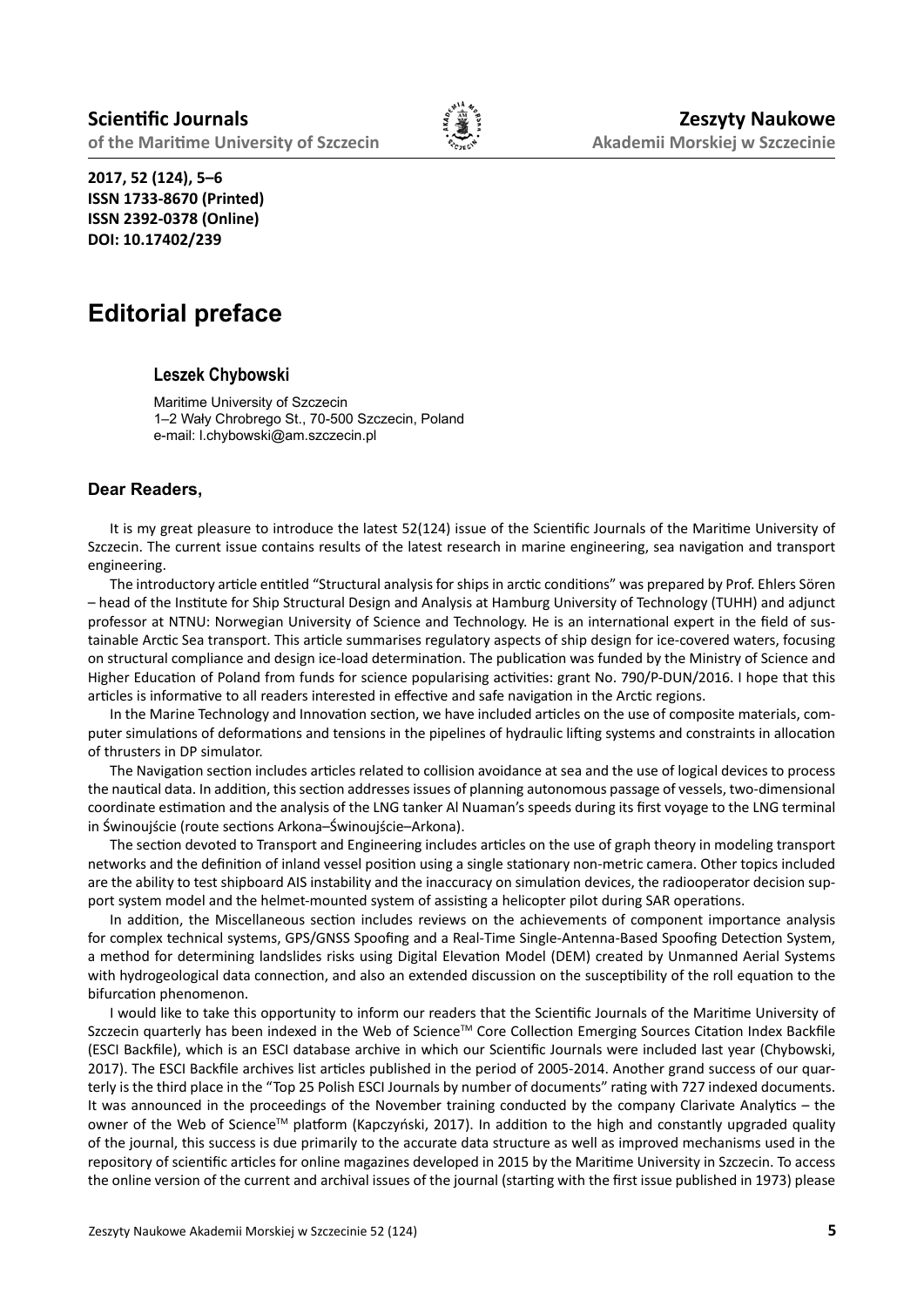

**2017, 52 (124), 5–6 ISSN 1733-8670 (Printed) ISSN 2392-0378 (Online) DOI: 10.17402/239**

## **Editorial preface**

## **Leszek Chybowski**

Maritime University of Szczecin 1–2 Wały Chrobrego St., 70-500 Szczecin, Poland e-mail: l.chybowski@am.szczecin.pl

## **Dear Readers,**

It is my great pleasure to introduce the latest 52(124) issue of the Scientific Journals of the Maritime University of Szczecin. The current issue contains results of the latest research in marine engineering, sea navigation and transport engineering.

The introductory article entitled "Structural analysis for ships in arctic conditions" was prepared by Prof. Ehlers Sören – head of the Institute for Ship Structural Design and Analysis at Hamburg University of Technology (TUHH) and adjunct professor at NTNU: Norwegian University of Science and Technology. He is an international expert in the field of sustainable Arctic Sea transport. This article summarises regulatory aspects of ship design for ice-covered waters, focusing on structural compliance and design ice-load determination. The publication was funded by the Ministry of Science and Higher Education of Poland from funds for science popularising activities: grant No. 790/P-DUN/2016. I hope that this articles is informative to all readers interested in effective and safe navigation in the Arctic regions.

In the Marine Technology and Innovation section, we have included articles on the use of composite materials, computer simulations of deformations and tensions in the pipelines of hydraulic lifting systems and constraints in allocation of thrusters in DP simulator.

The Navigation section includes articles related to collision avoidance at sea and the use of logical devices to process the nautical data. In addition, this section addresses issues of planning autonomous passage of vessels, two-dimensional coordinate estimation and the analysis of the LNG tanker Al Nuaman's speeds during its first voyage to the LNG terminal in Świnoujście (route sections Arkona–Świnoujście–Arkona).

The section devoted to Transport and Engineering includes articles on the use of graph theory in modeling transport networks and the definition of inland vessel position using a single stationary non-metric camera. Other topics included are the ability to test shipboard AIS instability and the inaccuracy on simulation devices, the radiooperator decision support system model and the helmet-mounted system of assisting a helicopter pilot during SAR operations.

In addition, the Miscellaneous section includes reviews on the achievements of component importance analysis for complex technical systems, GPS/GNSS Spoofing and a Real-Time Single-Antenna-Based Spoofing Detection System, a method for determining landslides risks using Digital Elevation Model (DEM) created by Unmanned Aerial Systems with hydrogeological data connection, and also an extended discussion on the susceptibility of the roll equation to the bifurcation phenomenon.

I would like to take this opportunity to inform our readers that the Scientific Journals of the Maritime University of Szczecin quarterly has been indexed in the Web of Science™ Core Collection Emerging Sources Citation Index Backfile (ESCI Backfile), which is an ESCI database archive in which our Scientific Journals were included last year (Chybowski, 2017). The ESCI Backfile archives list articles published in the period of 2005-2014. Another grand success of our quarterly is the third place in the "Top 25 Polish ESCI Journals by number of documents" rating with 727 indexed documents. It was announced in the proceedings of the November training conducted by the company Clarivate Analytics – the owner of the Web of Science<sup>™</sup> platform (Kapczyński, 2017). In addition to the high and constantly upgraded quality of the journal, this success is due primarily to the accurate data structure as well as improved mechanisms used in the repository of scientific articles for online magazines developed in 2015 by the Maritime University in Szczecin. To access the online version of the current and archival issues of the journal (starting with the first issue published in 1973) please